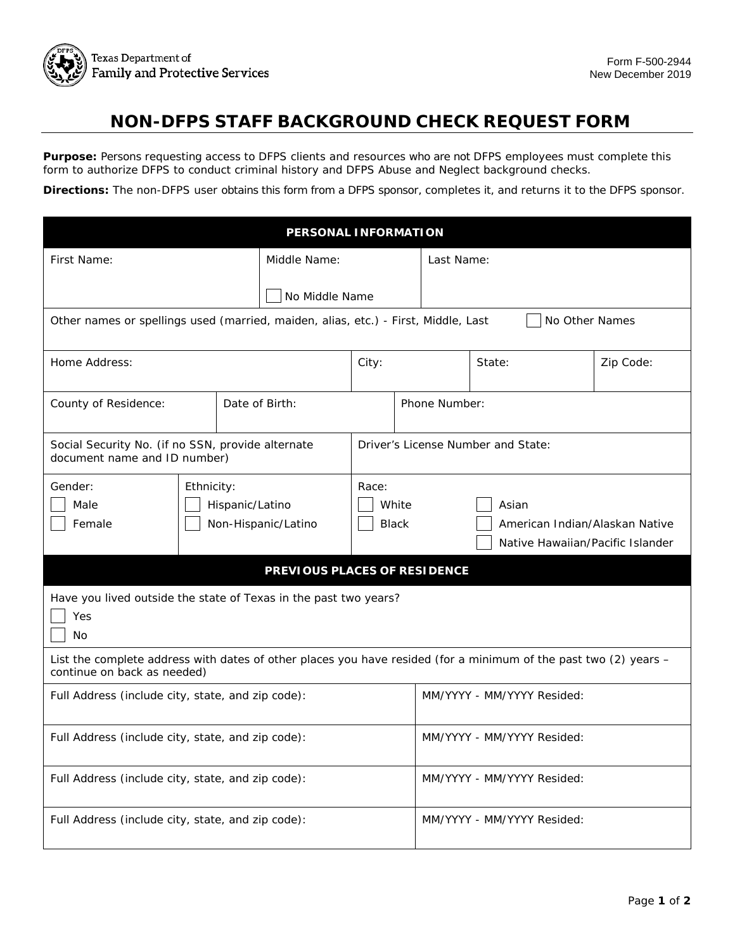

## **NON-DFPS STAFF BACKGROUND CHECK REQUEST FORM**

**Purpose:** Persons requesting access to DFPS clients and resources who are not DFPS employees must complete this form to authorize DFPS to conduct criminal history and DFPS Abuse and Neglect background checks.

**Directions:** The non-DFPS user obtains this form from a DFPS sponsor, completes it, and returns it to the DFPS sponsor.

| PERSONAL INFORMATION                                                                                                                            |              |                                                                                                               |                            |           |  |
|-------------------------------------------------------------------------------------------------------------------------------------------------|--------------|---------------------------------------------------------------------------------------------------------------|----------------------------|-----------|--|
| First Name:                                                                                                                                     | Middle Name: |                                                                                                               | Last Name:                 |           |  |
| No Middle Name                                                                                                                                  |              |                                                                                                               |                            |           |  |
| No Other Names<br>Other names or spellings used (married, maiden, alias, etc.) - First, Middle, Last                                            |              |                                                                                                               |                            |           |  |
| Home Address:                                                                                                                                   |              | City:                                                                                                         | State:                     | Zip Code: |  |
| Date of Birth:<br>County of Residence:                                                                                                          |              | Phone Number:                                                                                                 |                            |           |  |
| Social Security No. (if no SSN, provide alternate<br>document name and ID number)                                                               |              | Driver's License Number and State:                                                                            |                            |           |  |
| Gender:<br>Ethnicity:<br>Male<br>Hispanic/Latino<br>Female<br>Non-Hispanic/Latino                                                               |              | Race:<br>White<br>Asian<br><b>Black</b><br>American Indian/Alaskan Native<br>Native Hawaiian/Pacific Islander |                            |           |  |
| PREVIOUS PLACES OF RESIDENCE                                                                                                                    |              |                                                                                                               |                            |           |  |
| Have you lived outside the state of Texas in the past two years?<br>Yes<br>No                                                                   |              |                                                                                                               |                            |           |  |
| List the complete address with dates of other places you have resided (for a minimum of the past two (2) years -<br>continue on back as needed) |              |                                                                                                               |                            |           |  |
| Full Address (include city, state, and zip code):                                                                                               |              |                                                                                                               | MM/YYYY - MM/YYYY Resided: |           |  |
| Full Address (include city, state, and zip code):                                                                                               |              |                                                                                                               | MM/YYYY - MM/YYYY Resided: |           |  |
| Full Address (include city, state, and zip code):                                                                                               |              | MM/YYYY - MM/YYYY Resided:                                                                                    |                            |           |  |
| Full Address (include city, state, and zip code):                                                                                               |              | MM/YYYY - MM/YYYY Resided:                                                                                    |                            |           |  |